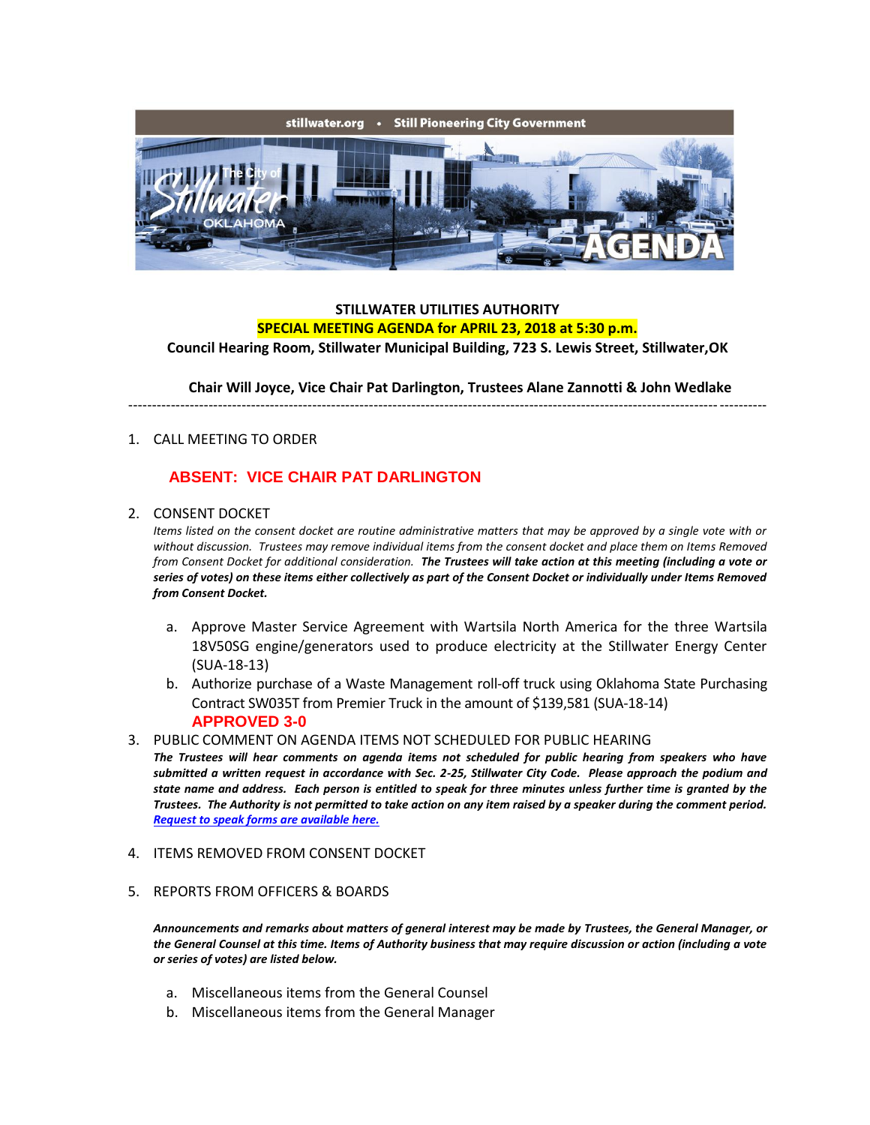

## **STILLWATER UTILITIES AUTHORITY SPECIAL MEETING AGENDA for APRIL 23, 2018 at 5:30 p.m.**

**Council Hearing Room, Stillwater Municipal Building, 723 S. Lewis Street, Stillwater,OK**

**Chair Will Joyce, Vice Chair Pat Darlington, Trustees Alane Zannotti & John Wedlake**

---------------------------------------------------------------------------------------------------------------------------------------

1. CALL MEETING TO ORDER

## **ABSENT: VICE CHAIR PAT DARLINGTON**

2. CONSENT DOCKET

*Items listed on the consent docket are routine administrative matters that may be approved by a single vote with or without discussion. Trustees may remove individual items from the consent docket and place them on Items Removed from Consent Docket for additional consideration. The Trustees will take action at this meeting (including a vote or series of votes) on these items either collectively as part of the Consent Docket or individually under Items Removed from Consent Docket.*

- a. Approve Master Service Agreement with Wartsila North America for the three Wartsila 18V50SG engine/generators used to produce electricity at the Stillwater Energy Center (SUA-18-13)
- b. Authorize purchase of a Waste Management roll-off truck using Oklahoma State Purchasing Contract SW035T from Premier Truck in the amount of \$139,581 (SUA-18-14) **APPROVED 3-0**
- 3. PUBLIC COMMENT ON AGENDA ITEMS NOT SCHEDULED FOR PUBLIC HEARING

*The Trustees will hear comments on agenda items not scheduled for public hearing from speakers who have submitted a written request in accordance with Sec. 2-25, Stillwater City Code. Please approach the podium and state name and address. Each person is entitled to speak for three minutes unless further time is granted by the Trustees. The Authority is not permitted to take action on any item raised by a speaker during the comment period. [Request to speak forms are available here.](http://stillwater.org/document/request_to_speak_at_city_council.php)*

- 4. ITEMS REMOVED FROM CONSENT DOCKET
- 5. REPORTS FROM OFFICERS & BOARDS

*Announcements and remarks about matters of general interest may be made by Trustees, the General Manager, or the General Counsel at this time. Items of Authority business that may require discussion or action (including a vote or series of votes) are listed below.*

- a. Miscellaneous items from the General Counsel
- b. Miscellaneous items from the General Manager